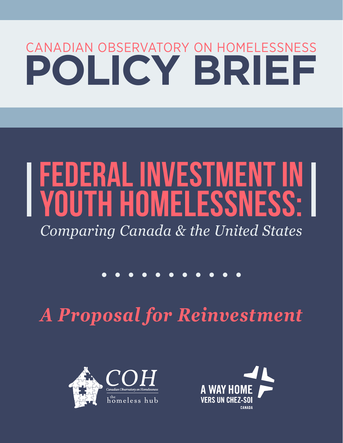## CANADIAN OBSERVATORY ON HOMELESSNESS **POLICY BRIEF**

# **FEDERAL INVESTMENT IN YOUTH HOMELESSNESS:**

*Comparing Canada & the United States*

*A Proposal for Reinvestment*



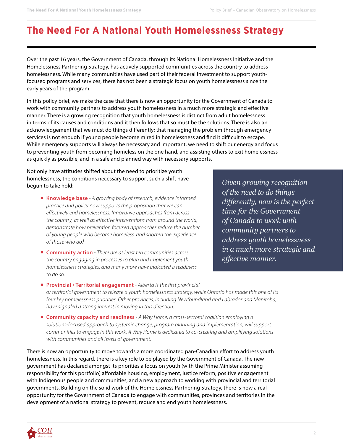## **The Need For A National Youth Homelessness Strategy**

Over the past 16 years, the Government of Canada, through its National Homelessness Initiative and the Homelessness Partnering Strategy, has actively supported communities across the country to address homelessness. While many communities have used part of their federal investment to support youthfocused programs and services, there has not been a strategic focus on youth homelessness since the early years of the program.

In this policy brief, we make the case that there is now an opportunity for the Government of Canada to work with community partners to address youth homelessness in a much more strategic and effective manner. There is a growing recognition that youth homelessness is distinct from adult homelessness in terms of its causes and conditions and it then follows that so must be the solutions. There is also an acknowledgement that we must do things differently; that managing the problem through emergency services is not enough if young people become mired in homelessness and find it difficult to escape. While emergency supports will always be necessary and important, we need to shift our energy and focus to preventing youth from becoming homeless on the one hand, and assisting others to exit homelessness as quickly as possible, and in a safe and planned way with necessary supports.

Not only have attitudes shifted about the need to prioritize youth homelessness, the conditions necessary to support such a shift have begun to take hold:

- ¡ **Knowledge base** *A growing body of research, evidence informed practice and policy now supports the proposition that we can effectively end homelessness. Innovative approaches from across the country, as well as effective interventions from around the world, demonstrate how prevention focused approaches reduce the number of young people who become homeless, and shorten the experience of those who do.*<sup>i</sup>
- **Community action** There are at least ten communities across *the country engaging in processes to plan and implement youth homelessness strategies, and many more have indicated a readiness to do so.*

*Given growing recognition of the need to do things differently, now is the perfect time for the Government of Canada to work with community partners to address youth homelessness in a much more strategic and effective manner.*

- **Provincial / Territorial engagement** Alberta is the first provincial *or territorial government to release a youth homelessness strategy, while Ontario has made this one of its four key homelessness priorities. Other provinces, including Newfoundland and Labrador and Manitoba, have signaled a strong interest in moving in this direction.*
- ¡ **Community capacity and readiness** *A Way Home, a cross-sectoral coalition employing a solutions-focused approach to systemic change, program planning and implementation, will support communities to engage in this work. A Way Home is dedicated to co-creating and amplifying solutions with communities and all levels of government.*

There is now an opportunity to move towards a more coordinated pan-Canadian effort to address youth homelessness. In this regard, there is a key role to be played by the Government of Canada. The new government has declared amongst its priorities a focus on youth (with the Prime Minister assuming responsibility for this portfolio) affordable housing, employment, justice reform, positive engagement with Indigenous people and communities, and a new approach to working with provincial and territorial governments. Building on the solid work of the Homelessness Partnering Strategy, there is now a real opportunity for the Government of Canada to engage with communities, provinces and territories in the development of a national strategy to prevent, reduce and end youth homelessness.

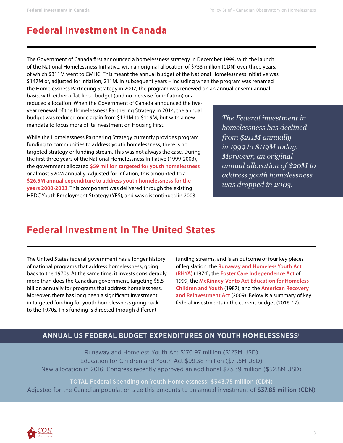## **Federal Investment In Canada**

The Government of Canada first announced a homelessness strategy in December 1999, with the launch of the National Homelessness Initiative, with an original allocation of \$753 million (CDN) over three years, of which \$311M went to CMHC. This meant the annual budget of the National Homelessness Initiative was \$147M or, adjusted for inflation, 211M. In subsequent years – including when the program was renamed the Homelessness Partnering Strategy in 2007, the program was renewed on an annual or semi-annual

basis, with either a flat-lined budget (and no increase for inflation) or a reduced allocation. When the Government of Canada announced the fiveyear renewal of the Homelessness Partnering Strategy in 2014, the annual budget was reduced once again from \$131M to \$119M, but with a new mandate to focus more of its investment on Housing First.

While the Homelessness Partnering Strategy currently provides program funding to communities to address youth homelessness, there is no targeted strategy or funding stream. This was not always the case. During the first three years of the National Homelessness Initiative (1999-2003), the government allocated **\$59 million targeted for youth homelessness** or almost \$20M annually. Adjusted for inflation, this amounted to a **\$26.5M annual expenditure to address youth homelessness for the years 2000-2003**. This component was delivered through the existing HRDC Youth Employment Strategy (YES), and was discontinued in 2003.

*The Federal investment in homelessness has declined from \$211M annually in 1999 to \$119M today. Moreover, an original annual allocation of \$20M to address youth homelessness was dropped in 2003.*

### **Federal Investment In The United States**

The United States federal government has a longer history of national programs that address homelessness, going back to the 1970s. At the same time, it invests considerably more than does the Canadian government, targeting \$5.5 billion annually for programs that address homelessness. Moreover, there has long been a significant investment in targeted funding for youth homelessness going back to the 1970s. This funding is directed through different

funding streams, and is an outcome of four key pieces of legislation: the **Runaway and Homeless Youth Act (RHYA)** (1974), the **Foster Care Independence Act** of 1999, the **McKinney-Vento Act Education for Homeless Children and Youth** (1987); and the **American Recovery and Reinvestment Act** (2009). Below is a summary of key federal investments in the current budget (2016-17).

#### **ANNUAL US FEDERAL BUDGET EXPENDITURES ON YOUTH HOMELESSNESS**ii

Runaway and Homeless Youth Act \$170.97 million (\$123M USD) Education for Children and Youth Act \$99.38 million (\$71.5M USD) New allocation in 2016: Congress recently approved an additional \$73.39 million (\$52.8M USD)

TOTAL Federal Spending on Youth Homelessness: \$343.75 million (CDN) Adjusted for the Canadian population size this amounts to an annual investment of \$37.85 million (CDN)

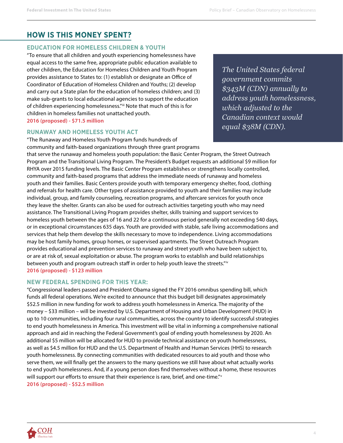#### **HOW IS THIS MONEY SPENT?**

#### **EDUCATION FOR HOMELESS CHILDREN & YOUTH**

"To ensure that all children and youth experiencing homelessness have equal access to the same free, appropriate public education available to other children, the Education for Homeless Children and Youth Program provides assistance to States to: (1) establish or designate an Office of Coordinator of Education of Homeless Children and Youths; (2) develop and carry out a State plan for the education of homeless children; and (3) make sub-grants to local educational agencies to support the education of children experiencing homelessness." iii Note that much of this is for children in homeless families not unattached youth. **2016 (proposed) - \$71.5 million**

#### **RUNAWAY AND HOMELESS YOUTH ACT**

*The United States federal government commits \$343M (CDN) annually to address youth homelessness, which adjusted to the Canadian context would equal \$38M (CDN).*

"The Runaway and Homeless Youth Program funds hundreds of community and faith-based organizations through three grant programs that serve the runaway and homeless youth population: the Basic Center Program, the Street Outreach Program and the Transitional Living Program. The President's Budget requests an additional \$9 million for RHYA over 2015 funding levels. The Basic Center Program establishes or strengthens locally controlled, community and faith-based programs that address the immediate needs of runaway and homeless youth and their families. Basic Centers provide youth with temporary emergency shelter, food, clothing and referrals for health care. Other types of assistance provided to youth and their families may include individual, group, and family counseling, recreation programs, and aftercare services for youth once they leave the shelter. Grants can also be used for outreach activities targeting youth who may need assistance. The Transitional Living Program provides shelter, skills training and support services to homeless youth between the ages of 16 and 22 for a continuous period generally not exceeding 540 days, or in exceptional circumstances 635 days. Youth are provided with stable, safe living accommodations and services that help them develop the skills necessary to move to independence. Living accommodations may be host family homes, group homes, or supervised apartments. The Street Outreach Program provides educational and prevention services to runaway and street youth who have been subject to, or are at risk of, sexual exploitation or abuse. The program works to establish and build relationships between youth and program outreach staff in order to help youth leave the streets." iv **2016 (proposed) - \$123 million**

#### **NEW FEDERAL SPENDING FOR THIS YEAR:**

"Congressional leaders passed and President Obama signed the FY 2016 omnibus spending bill, which funds all federal operations. We're excited to announce that this budget bill designates approximately \$52.5 million in new funding for work to address youth homelessness in America. The majority of the money – \$33 million – will be invested by U.S. Department of Housing and Urban Development (HUD) in up to 10 communities, including four rural communities, across the country to identify successful strategies to end youth homelessness in America. This investment will be vital in informing a comprehensive national approach and aid in reaching the Federal Government's goal of ending youth homelessness by 2020. An additional \$5 million will be allocated for HUD to provide technical assistance on youth homelessness, as well as \$4.5 million for HUD and the U.S. Department of Health and Human Services (HHS) to research youth homelessness. By connecting communities with dedicated resources to aid youth and those who serve them, we will finally get the answers to the many questions we still have about what actually works to end youth homelessness. And, if a young person does find themselves without a home, these resources will support our efforts to ensure that their experience is rare, brief, and one-time." **2016 (proposed) - \$52.5 million**

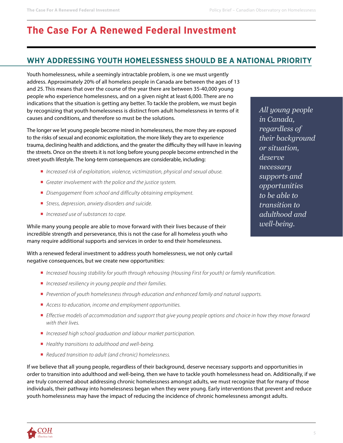## **The Case For A Renewed Federal Investment**

#### **WHY ADDRESSING YOUTH HOMELESSNESS SHOULD BE A NATIONAL PRIORITY**

Youth homelessness, while a seemingly intractable problem, is one we must urgently address. Approximately 20% of all homeless people in Canada are between the ages of 13 and 25. This means that over the course of the year there are between 35-40,000 young people who experience homelessness, and on a given night at least 6,000. There are no indications that the situation is getting any better. To tackle the problem, we must begin by recognizing that youth homelessness is distinct from adult homelessness in terms of it causes and conditions, and therefore so must be the solutions.

The longer we let young people become mired in homelessness, the more they are exposed to the risks of sexual and economic exploitation, the more likely they are to experience trauma, declining health and addictions, and the greater the difficulty they will have in leaving the streets. Once on the streets it is not long before young people become entrenched in the street youth lifestyle. The long-term consequences are considerable, including:

- *Increased risk of exploitation, violence, victimization, physical and sexual abuse.*
- *Greater involvement with the police and the justice system.*
- *Disengagement from school and difficulty obtaining employment.*
- *Stress, depression, anxiety disorders and suicide.*
- *Increased use of substances to cope*.

While many young people are able to move forward with their lives because of their incredible strength and perseverance, this is not the case for all homeless youth who many require additional supports and services in order to end their homelessness.

With a renewed federal investment to address youth homelessness, we not only curtail negative consequences, but we create new opportunities:

- ¡ *Increased housing stability for youth through rehousing (Housing First for youth) or family reunification.*
- *Increased resiliency in young people and their families.*
- ¡ *Prevention of youth homelessness through education and enhanced family and natural supports.*
- *Access to education, income and employment opportunities.*
- ¡ *Effective models of accommodation and support that give young people options and choice in how they move forward with their lives.*
- *Increased high school graduation and labour market participation.*
- ¡ *Healthy transitions to adulthood and well-being.*
- *Reduced transition to adult (and chronic) homelessness.*

If we believe that all young people, regardless of their background, deserve necessary supports and opportunities in order to transition into adulthood and well-being, then we have to tackle youth homelessness head on. Additionally, if we are truly concerned about addressing chronic homelessness amongst adults, we must recognize that for many of those individuals, their pathway into homelessness began when they were young. Early interventions that prevent and reduce youth homelessness may have the impact of reducing the incidence of chronic homelessness amongst adults.

*All young people in Canada, regardless of their background or situation, deserve necessary supports and opportunities to be able to transition to adulthood and well-being.* 

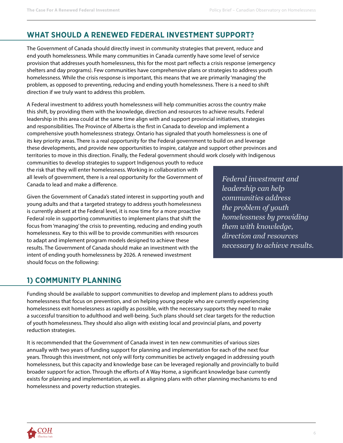#### **WHAT SHOULD A RENEWED FEDERAL INVESTMENT SUPPORT?**

The Government of Canada should directly invest in community strategies that prevent, reduce and end youth homelessness. While many communities in Canada currently have some level of service provision that addresses youth homelessness, this for the most part reflects a crisis response (emergency shelters and day programs). Few communities have comprehensive plans or strategies to address youth homelessness. While the crisis response is important, this means that we are primarily 'managing' the problem, as opposed to preventing, reducing and ending youth homelessness. There is a need to shift direction if we truly want to address this problem.

A Federal investment to address youth homelessness will help communities across the country make this shift, by providing them with the knowledge, direction and resources to achieve results. Federal leadership in this area could at the same time align with and support provincial initiatives, strategies and responsibilities. The Province of Alberta is the first in Canada to develop and implement a comprehensive youth homelessness strategy. Ontario has signaled that youth homelessness is one of its key priority areas. There is a real opportunity for the Federal government to build on and leverage these developments, and provide new opportunities to inspire, catalyze and support other provinces and territories to move in this direction. Finally, the Federal government should work closely with Indigenous

communities to develop strategies to support Indigenous youth to reduce the risk that they will enter homelessness. Working in collaboration with all levels of government, there is a real opportunity for the Government of Canada to lead and make a difference.

Given the Government of Canada's stated interest in supporting youth and young adults and that a targeted strategy to address youth homelessness is currently absent at the Federal level, it is now time for a more proactive Federal role in supporting communities to implement plans that shift the focus from 'managing' the crisis to preventing, reducing and ending youth homelessness. Key to this will be to provide communities with resources to adapt and implement program models designed to achieve these results. The Government of Canada should make an investment with the intent of ending youth homelessness by 2026. A renewed investment should focus on the following:

*Federal investment and leadership can help communities address the problem of youth homelessness by providing them with knowledge, direction and resources necessary to achieve results.* 

#### **1) COMMUNITY PLANNING**

Funding should be available to support communities to develop and implement plans to address youth homelessness that focus on prevention, and on helping young people who are currently experiencing homelessness exit homelessness as rapidly as possible, with the necessary supports they need to make a successful transition to adulthood and well-being. Such plans should set clear targets for the reduction of youth homelessness. They should also align with existing local and provincial plans, and poverty reduction strategies.

It is recommended that the Government of Canada invest in ten new communities of various sizes annually with two years of funding support for planning and implementation for each of the next four years. Through this investment, not only will forty communities be actively engaged in addressing youth homelessness, but this capacity and knowledge base can be leveraged regionally and provincially to build broader support for action. Through the efforts of A Way Home, a significant knowledge base currently exists for planning and implementation, as well as aligning plans with other planning mechanisms to end homelessness and poverty reduction strategies.

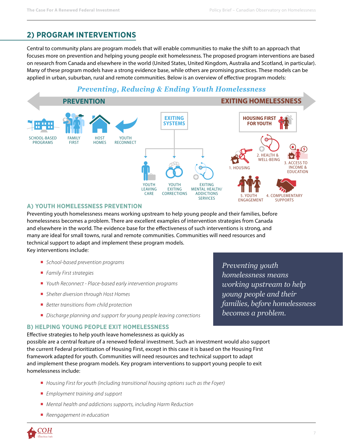#### **2) PROGRAM INTERVENTIONS**

Central to community plans are program models that will enable communities to make the shift to an approach that focuses more on prevention and helping young people exit homelessness. The proposed program interventions are based on research from Canada and elsewhere in the world (United States, United Kingdom, Australia and Scotland, in particular). Many of these program models have a strong evidence base, while others are promising practices. These models can be applied in urban, suburban, rural and remote communities. Below is an overview of effective program models:

#### *Preventing, Reducing & Ending Youth Homelessness*



#### **A) YOUTH HOMELESSNESS PREVENTION**

Preventing youth homelessness means working upstream to help young people and their families, before homelessness becomes a problem. There are excellent examples of intervention strategies from Canada and elsewhere in the world. The evidence base for the effectiveness of such interventions is strong, and many are ideal for small towns, rural and remote communities. Communities will need resources and technical support to adapt and implement these program models. Key interventions include:

- ¡ *School-based prevention programs*
- ¡ *Family First strategies*
- *Youth Reconnect Place-based early intervention programs*
- ¡ *Shelter diversion through Host Homes*
- *Better transitions from child protection*
- *Discharge planning and support for young people leaving corrections*

#### **B) HELPING YOUNG PEOPLE EXIT HOMELESSNESS**

Effective strategies to help youth leave homelessness as quickly as possible are a central feature of a renewed federal investment. Such an investment would also support the current Federal prioritization of Housing First, except in this case it is based on the Housing First framework adapted for youth. Communities will need resources and technical support to adapt and implement these program models. Key program interventions to support young people to exit homelessness include:

- ¡ *Housing First for youth (including transitional housing options such as the Foyer)*
- ¡ *Employment training and support*
- *Mental health and addictions supports, including Harm Reduction*
- *Reengagement in education*

*Preventing youth homelessness means working upstream to help young people and their families, before homelessness becomes a problem.* 

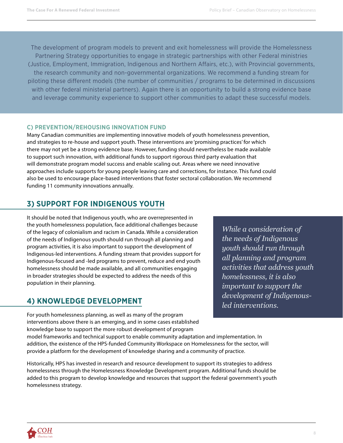The development of program models to prevent and exit homelessness will provide the Homelessness Partnering Strategy opportunities to engage in strategic partnerships with other Federal ministries (Justice, Employment, Immigration, Indigenous and Northern Affairs, etc.), with Provincial governments, the research community and non-governmental organizations. We recommend a funding stream for piloting these different models (the number of communities / programs to be determined in discussions with other federal ministerial partners). Again there is an opportunity to build a strong evidence base and leverage community experience to support other communities to adapt these successful models.

#### **C) PREVENTION/REHOUSING INNOVATION FUND**

Many Canadian communities are implementing innovative models of youth homelessness prevention, and strategies to re-house and support youth. These interventions are 'promising practices' for which there may not yet be a strong evidence base. However, funding should nevertheless be made available to support such innovation, with additional funds to support rigorous third party evaluation that will demonstrate program model success and enable scaling out. Areas where we need innovative approaches include supports for young people leaving care and corrections, for instance. This fund could also be used to encourage place-based interventions that foster sectoral collaboration. We recommend funding 11 community innovations annually.

#### **3) SUPPORT FOR INDIGENOUS YOUTH**

It should be noted that Indigenous youth, who are overrepresented in the youth homelessness population, face additional challenges because of the legacy of colonialism and racism in Canada. While a consideration of the needs of Indigenous youth should run through all planning and program activities, it is also important to support the development of Indigenous-led interventions. A funding stream that provides support for Indigenous-focused and -led programs to prevent, reduce and end youth homelessness should be made available, and all communities engaging in broader strategies should be expected to address the needs of this population in their planning.

#### **4) KNOWLEDGE DEVELOPMENT**

For youth homelessness planning, as well as many of the program interventions above there is an emerging, and in some cases established knowledge base to support the more robust development of program

*While a consideration of the needs of Indigenous youth should run through all planning and program activities that address youth homelessness, it is also important to support the development of Indigenousled interventions.* 

model frameworks and technical support to enable community adaptation and implementation. In addition, the existence of the HPS-funded Community Workspace on Homelessness for the sector, will provide a platform for the development of knowledge sharing and a community of practice.

Historically, HPS has invested in research and resource development to support its strategies to address homelessness through the Homelessness Knowledge Development program. Additional funds should be added to this program to develop knowledge and resources that support the federal government's youth homelessness strategy.

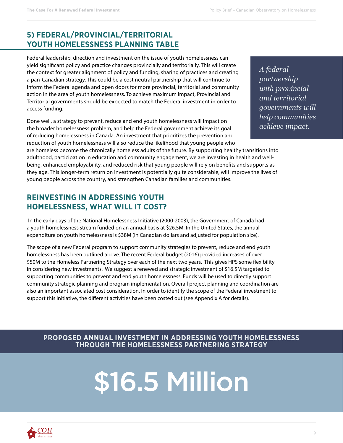#### **5) FEDERAL/PROVINCIAL/TERRITORIAL YOUTH HOMELESSNESS PLANNING TABLE**

Federal leadership, direction and investment on the issue of youth homelessness can yield significant policy and practice changes provincially and territorially. This will create the context for greater alignment of policy and funding, sharing of practices and creating a pan-Canadian strategy. This could be a cost neutral partnership that will continue to inform the Federal agenda and open doors for more provincial, territorial and community action in the area of youth homelessness. To achieve maximum impact, Provincial and Territorial governments should be expected to match the Federal investment in order to access funding.

Done well, a strategy to prevent, reduce and end youth homelessness will impact on the broader homelessness problem, and help the Federal government achieve its goal of reducing homelessness in Canada. An investment that prioritizes the prevention and reduction of youth homelessness will also reduce the likelihood that young people who *A federal partnership with provincial and territorial governments will help communities achieve impact.*

are homeless become the chronically homeless adults of the future. By supporting healthy transitions into adulthood, participation in education and community engagement, we are investing in health and wellbeing, enhanced employability, and reduced risk that young people will rely on benefits and supports as they age. This longer-term return on investment is potentially quite considerable, will improve the lives of young people across the country, and strengthen Canadian families and communities.

#### **REINVESTING IN ADDRESSING YOUTH HOMELESSNESS, WHAT WILL IT COST?**

 In the early days of the National Homelessness Initiative (2000-2003), the Government of Canada had a youth homelessness stream funded on an annual basis at \$26.5M. In the United States, the annual expenditure on youth homelessness is \$38M (in Canadian dollars and adjusted for population size).

The scope of a new Federal program to support community strategies to prevent, reduce and end youth homelessness has been outlined above. The recent Federal budget (2016) provided increases of over \$50M to the Homeless Partnering Strategy over each of the next two years. This gives HPS some flexibility in considering new investments. We suggest a renewed and strategic investment of \$16.5M targeted to supporting communities to prevent and end youth homelessness. Funds will be used to directly support community strategic planning and program implementation. Overall project planning and coordination are also an important associated cost consideration. In order to identify the scope of the Federal investment to support this initiative, the different activities have been costed out (see Appendix A for details).

**PROPOSED ANNUAL INVESTMENT IN ADDRESSING YOUTH HOMELESSNESS THROUGH THE HOMELESSNESS PARTNERING STRATEGY**

## \$16.5 Million

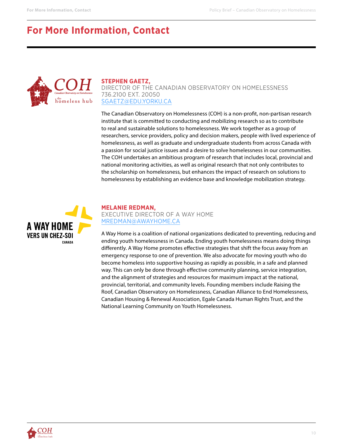## **For More Information, Contact**



#### **STEPHEN GAETZ,**

DIRECTOR OF THE CANADIAN OBSERVATORY ON HOMELESSNESS 736.2100 EXT. 20050 [SGAETZ@EDU.YORKU.CA](mailto:sgaetz%40edu.yorku.ca?subject=)

The Canadian Observatory on Homelessness (COH) is a non-profit, non-partisan research institute that is committed to conducting and mobilizing research so as to contribute to real and sustainable solutions to homelessness. We work together as a group of researchers, service providers, policy and decision makers, people with lived experience of homelessness, as well as graduate and undergraduate students from across Canada with a passion for social justice issues and a desire to solve homelessness in our communities. The COH undertakes an ambitious program of research that includes local, provincial and national monitoring activities, as well as original research that not only contributes to the scholarship on homelessness, but enhances the impact of research on solutions to homelessness by establishing an evidence base and knowledge mobilization strategy.



**MELANIE REDMAN,** EXECUTIVE DIRECTOR OF A WAY HOME [MREDMAN@AWAYHOME.CA](mailto:mredman%40awayhome.ca?subject=)

A Way Home is a coalition of national organizations dedicated to preventing, reducing and ending youth homelessness in Canada. Ending youth homelessness means doing things differently. A Way Home promotes effective strategies that shift the focus away from an emergency response to one of prevention. We also advocate for moving youth who do become homeless into supportive housing as rapidly as possible, in a safe and planned way. This can only be done through effective community planning, service integration, and the alignment of strategies and resources for maximum impact at the national, provincial, territorial, and community levels. Founding members include Raising the Roof, Canadian Observatory on Homelessness, Canadian Alliance to End Homelessness, Canadian Housing & Renewal Association, Egale Canada Human Rights Trust, and the National Learning Community on Youth Homelessness.

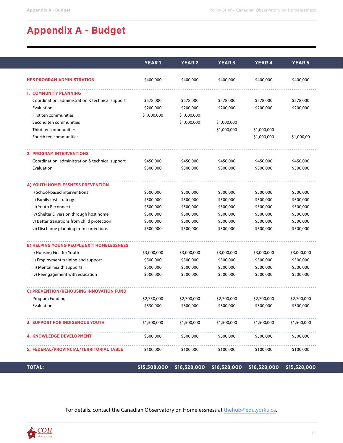## **Appendix A - Budget**

|                                                  | <b>YEAR1</b> | <b>YEAR 2</b> | <b>YEAR 3</b> | <b>YEAR 4</b> | <b>YEAR 5</b> |
|--------------------------------------------------|--------------|---------------|---------------|---------------|---------------|
| <b>HPS PROGRAM ADMINISTRATION</b>                | \$400,000    | \$400,000     | \$400,000     | \$400,000     | \$400,000     |
|                                                  |              |               |               |               |               |
| 1. COMMUNITY PLANNING                            |              |               |               |               |               |
| Coordination, administration & technical support | \$578,000    | \$578,000     | \$578,000     | \$578,000     | \$578,000     |
| Evaluation                                       | \$200,000    | \$200,000     | \$200,000     | \$200,000     | \$200,000     |
| First ten communities                            | \$1,000,000  | \$1,000,000   |               |               |               |
| Second ten communities                           |              | \$1,000,000   | \$1,000,000   |               |               |
| Third ten communities                            |              |               | \$1,000,000   | \$1,000,000   |               |
| Fourth ten communities                           |              |               |               | \$1,000,000   | \$1,000,00    |
| <b>2. PROGRAM INTERVENTIONS</b>                  |              |               |               |               |               |
| Coordination, administration & technical support | \$450,000    | \$450,000     | \$450,000     | \$450,000     | \$450,000     |
| Evaluation                                       | \$300,000    | \$300,000     | \$300,000     | \$300,000     | \$300,000     |
| A) YOUTH HOMELESSNESS PREVENTION                 |              |               |               |               |               |
| i) School-based interventions                    | \$500,000    | \$500,000     | \$500,000     | \$500,000     | \$500,000     |
| ii) Family first strategy                        | \$500,000    | \$500,000     | \$500,000     | \$500,000     | \$500,000     |
| iii) Youth Reconnect                             | \$500,000    | \$500,000     | \$500,000     | \$500,000     | \$500,000     |
| iv) Shelter Diversion through host home          | \$500,000    | \$500,000     | \$500,000     | \$500,000     | \$500,000     |
| v) Better transitions from child protection      | \$500,000    | \$500,000     | \$500,000     | \$500,000     | \$500,000     |
| vi) Discharge planning from corrections          | \$500,000    | \$500,000     | \$500,000     | \$500,000     | \$500,000     |
|                                                  |              |               |               |               |               |
| <b>B) HELPING YOUNG PEOPLE EXIT HOMELESSNESS</b> |              |               |               |               |               |
| i) Housing First for Youth                       | \$3,000,000  | \$3,000,000   | \$3,000,000   | \$3,000,000   | \$3,000,000   |
| ii) Employment training and support              | \$500,000    | \$500,000     | \$500,000     | \$500,000     | \$500,000     |
| iii) Mental health supports                      | \$500,000    | \$500,000     | \$500,000     | \$500,000     | \$500,000     |
| iv) Reengagement with education                  | \$500,000    | \$500,000     | \$500,000     | \$500,000     | \$500,000     |
| C) PREVENTION/REHOUSING INNOVATION FUND          |              |               |               |               |               |
| Program Funding                                  | \$2,750,000  | \$2,700,000   | \$2,700,000   | \$2,700,000   | \$2,700,000   |
| Evaluation                                       | \$330,000    | \$300,000     | \$300,000     | \$300,000     | \$300,000     |
| <b>3. SUPPORT FOR INDIGENOUS YOUTH</b>           | \$1,500,000  | \$1,500,000   | \$1,500,000   | \$1,500,000   | \$1,500,000   |
| <b>4. KNOWLEDGE DEVELOPMENT</b>                  | \$500,000    | \$500,000     | \$500,000     | \$500,000     | \$500,000     |
| 5. FEDERAL/PROVINCIAL/TERRITORIAL TABLE          | \$100,000    | \$100,000     | \$100,000     | \$100,000     | \$100,000     |
| <b>TOTAL:</b>                                    | \$15,508,000 | \$16,528,000  | \$16,528,000  | \$16,528,000  | \$15,528,000  |

For details, contact the Canadian Observatory on Homelessness at [thehub@edu.yorku.ca.](mailto:thehub%40edu.yorku.ca?subject=)